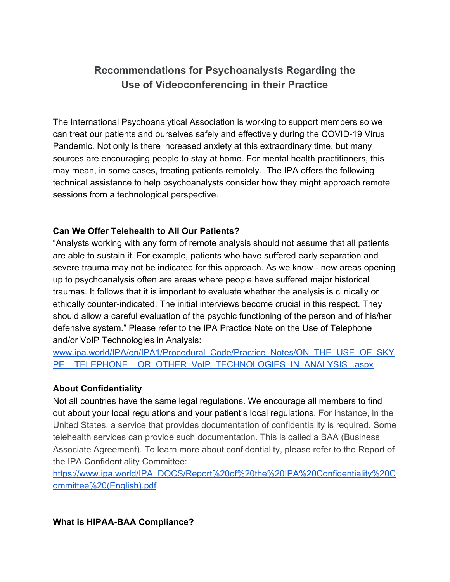# **Recommendations for Psychoanalysts Regarding the Use of Videoconferencing in their Practice**

The International Psychoanalytical Association is working to support members so we can treat our patients and ourselves safely and effectively during the COVID-19 Virus Pandemic. Not only is there increased anxiety at this extraordinary time, but many sources are encouraging people to stay at home. For mental health practitioners, this may mean, in some cases, treating patients remotely. The IPA offers the following technical assistance to help psychoanalysts consider how they might approach remote sessions from a technological perspective.

#### **Can We Offer Telehealth to All Our Patients?**

"Analysts working with any form of remote analysis should not assume that all patients are able to sustain it. For example, patients who have suffered early separation and severe trauma may not be indicated for this approach. As we know - new areas opening up to psychoanalysis often are areas where people have suffered major historical traumas. It follows that it is important to evaluate whether the analysis is clinically or ethically counter-indicated. The initial interviews become crucial in this respect. They should allow a careful evaluation of the psychic functioning of the person and of his/her defensive system." Please refer to the IPA Practice Note on the Use of Telephone and/or VoIP Technologies in Analysis:

[www.ipa.world/IPA/en/IPA1/Procedural\\_Code/Practice\\_Notes/ON\\_THE\\_USE\\_OF\\_SKY](https://www.ipa.world/IPA/en/IPA1/Procedural_Code/Practice_Notes/ON_THE_USE_OF_SKYPE__TELEPHONE__OR_OTHER_VoIP_TECHNOLOGIES_IN_ANALYSIS_.aspx) PE\_TELEPHONE\_OR\_OTHER\_VoIP\_TECHNOLOGIES\_IN\_ANALYSIS\_.aspx

#### **About Confidentiality**

Not all countries have the same legal regulations. We encourage all members to find out about your local regulations and your patient's local regulations. For instance, in the United States, a service that provides documentation of confidentiality is required. Some telehealth services can provide such documentation. This is called a BAA (Business Associate Agreement). To learn more about confidentiality, please refer to the Report of the IPA Confidentiality Committee:

[https://www.ipa.world/IPA\\_DOCS/Report%20of%20the%20IPA%20Confidentiality%20C](https://www.ipa.world/IPA_DOCS/Report%20of%20the%20IPA%20Confidentiality%20Committee%20(English).pdf) [ommittee%20\(English\).pdf](https://www.ipa.world/IPA_DOCS/Report%20of%20the%20IPA%20Confidentiality%20Committee%20(English).pdf)

#### **What is HIPAA-BAA Compliance?**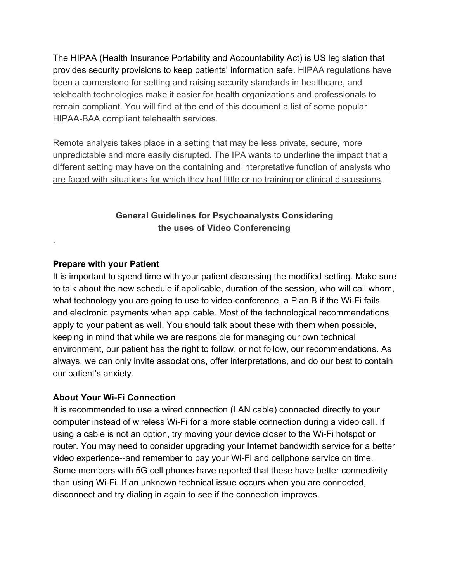The HIPAA (Health Insurance Portability and Accountability Act) is US legislation that provides security provisions to keep patients' information safe. HIPAA regulations have been a cornerstone for setting and raising security standards in healthcare, and telehealth technologies make it easier for health organizations and professionals to remain compliant. You will find at the end of this document a list of some popular HIPAA-BAA compliant telehealth services.

Remote analysis takes place in a setting that may be less private, secure, more unpredictable and more easily disrupted. The IPA wants to underline the impact that a different setting may have on the containing and interpretative function of analysts who are faced with situations for which they had little or no training or clinical discussions.

# **General Guidelines for Psychoanalysts Considering the uses of Video Conferencing**

# **Prepare with your Patient**

.

It is important to spend time with your patient discussing the modified setting. Make sure to talk about the new schedule if applicable, duration of the session, who will call whom, what technology you are going to use to video-conference, a Plan B if the Wi-Fi fails and electronic payments when applicable. Most of the technological recommendations apply to your patient as well. You should talk about these with them when possible, keeping in mind that while we are responsible for managing our own technical environment, our patient has the right to follow, or not follow, our recommendations. As always, we can only invite associations, offer interpretations, and do our best to contain our patient's anxiety.

#### **About Your Wi-Fi Connection**

It is recommended to use a wired connection (LAN cable) connected directly to your computer instead of wireless Wi-Fi for a more stable connection during a video call. If using a cable is not an option, try moving your device closer to the Wi-Fi hotspot or router. You may need to consider upgrading your Internet bandwidth service for a better video experience--and remember to pay your Wi-Fi and cellphone service on time. Some members with 5G cell phones have reported that these have better connectivity than using Wi-Fi. If an unknown technical issue occurs when you are connected, disconnect and try dialing in again to see if the connection improves.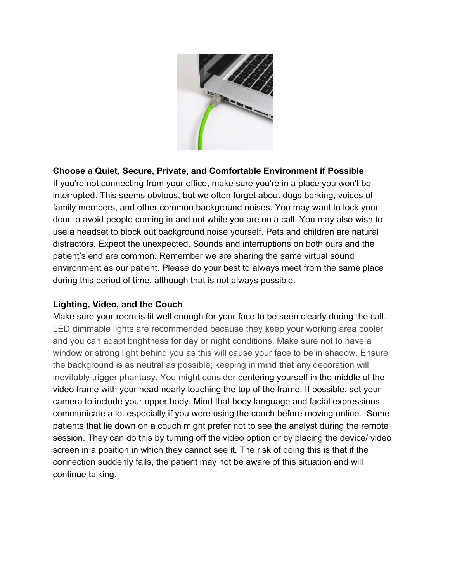

#### **Choose a Quiet, Secure, Private, and Comfortable Environment if Possible**

If you're not connecting from your office, make sure you're in a place you won't be interrupted. This seems obvious, but we often forget about dogs barking, voices of family members, and other common background noises. You may want to lock your door to avoid people coming in and out while you are on a call. You may also wish to use a headset to block out background noise yourself. Pets and children are natural distractors. Expect the unexpected. Sounds and interruptions on both ours and the patient's end are common. Remember we are sharing the same virtual sound environment as our patient. Please do your best to always meet from the same place during this period of time, although that is not always possible.

#### **Lighting, Video, and the Couch**

Make sure your room is lit well enough for your face to be seen clearly during the call. LED dimmable lights are recommended because they keep your working area cooler and you can adapt brightness for day or night conditions. Make sure not to have a window or strong light behind you as this will cause your face to be in shadow. Ensure the background is as neutral as possible, keeping in mind that any decoration will inevitably trigger phantasy. You might consider centering yourself in the middle of the video frame with your head nearly touching the top of the frame. If possible, set your camera to include your upper body. Mind that body language and facial expressions communicate a lot especially if you were using the couch before moving online. Some patients that lie down on a couch might prefer not to see the analyst during the remote session. They can do this by turning off the video option or by placing the device/ video screen in a position in which they cannot see it. The risk of doing this is that if the connection suddenly fails, the patient may not be aware of this situation and will continue talking.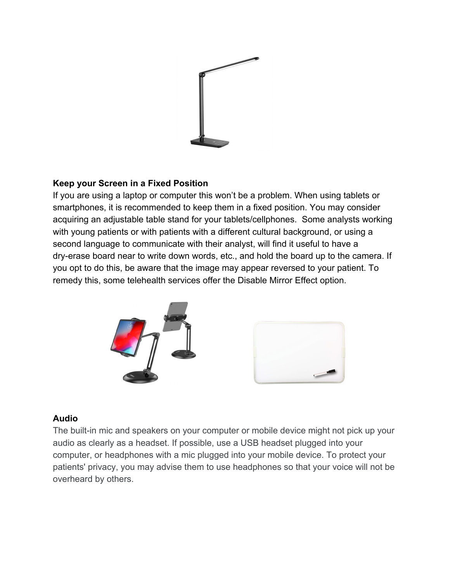

# **Keep your Screen in a Fixed Position**

If you are using a laptop or computer this won't be a problem. When using tablets or smartphones, it is recommended to keep them in a fixed position. You may consider acquiring an adjustable table stand for your tablets/cellphones. Some analysts working with young patients or with patients with a different cultural background, or using a second language to communicate with their analyst, will find it useful to have a dry-erase board near to write down words, etc., and hold the board up to the camera. If you opt to do this, be aware that the image may appear reversed to your patient. To remedy this, some telehealth services offer the Disable Mirror Effect option.





#### **Audio**

The built-in mic and speakers on your computer or mobile device might not pick up your audio as clearly as a headset. If possible, use a USB headset plugged into your computer, or headphones with a mic plugged into your mobile device. To protect your patients' privacy, you may advise them to use headphones so that your voice will not be overheard by others.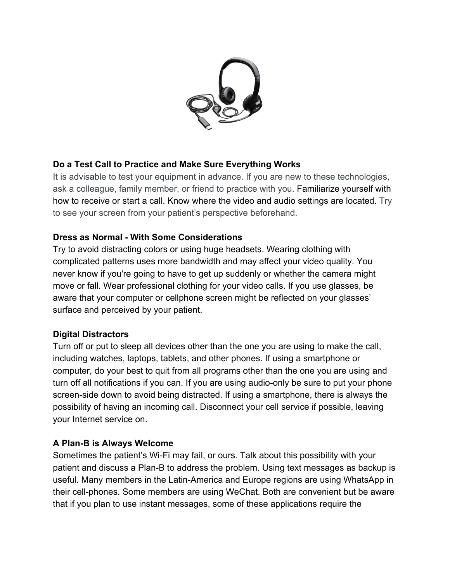

# **Do a Test Call to Practice and Make Sure Everything Works**

It is advisable to test your equipment in advance. If you are new to these technologies, ask a colleague, family member, or friend to practice with you. Familiarize yourself with how to receive or start a call. Know where the video and audio settings are located. Try to see your screen from your patient's perspective beforehand.

# **Dress as Normal - With Some Considerations**

Try to avoid distracting colors or using huge headsets. Wearing clothing with complicated patterns uses more bandwidth and may affect your video quality. You never know if you're going to have to get up suddenly or whether the camera might move or fall. Wear professional clothing for your video calls. If you use glasses, be aware that your computer or cellphone screen might be reflected on your glasses' surface and perceived by your patient.

#### **Digital Distractors**

Turn off or put to sleep all devices other than the one you are using to make the call, including watches, laptops, tablets, and other phones. If using a smartphone or computer, do your best to quit from all programs other than the one you are using and turn off all notifications if you can. If you are using audio-only be sure to put your phone screen-side down to avoid being distracted. If using a smartphone, there is always the possibility of having an incoming call. Disconnect your cell service if possible, leaving your Internet service on.

#### **A Plan-B is Always Welcome**

Sometimes the patient's Wi-Fi may fail, or ours. Talk about this possibility with your patient and discuss a Plan-B to address the problem. Using text messages as backup is useful. Many members in the Latin-America and Europe regions are using WhatsApp in their cell-phones. Some members are using WeChat. Both are convenient but be aware that if you plan to use instant messages, some of these applications require the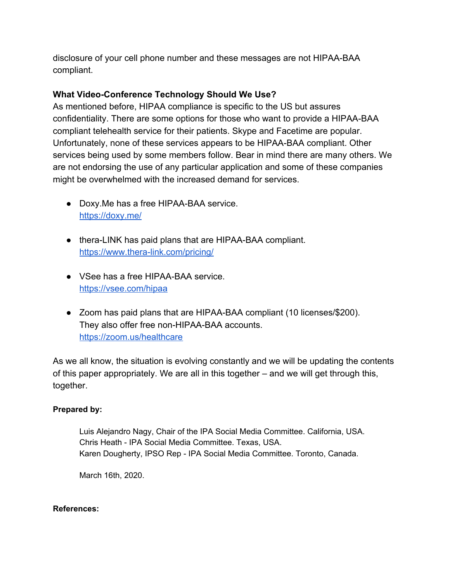disclosure of your cell phone number and these messages are not HIPAA-BAA compliant.

# **What Video-Conference Technology Should We Use?**

As mentioned before, HIPAA compliance is specific to the US but assures confidentiality. There are some options for those who want to provide a HIPAA-BAA compliant telehealth service for their patients. Skype and Facetime are popular. Unfortunately, none of these services appears to be HIPAA-BAA compliant. Other services being used by some members follow. Bear in mind there are many others. We are not endorsing the use of any particular application and some of these companies might be overwhelmed with the increased demand for services.

- Doxy.Me has a free HIPAA-BAA service. <https://doxy.me/>
- thera-LINK has paid plans that are HIPAA-BAA compliant. <https://www.thera-link.com/pricing/>
- VSee has a free HIPAA-BAA service. <https://vsee.com/hipaa>
- Zoom has paid plans that are HIPAA-BAA compliant (10 licenses/\$200). They also offer free non-HIPAA-BAA accounts. <https://zoom.us/healthcare>

As we all know, the situation is evolving constantly and we will be updating the contents of this paper appropriately. We are all in this together – and we will get through this, together.

#### **Prepared by:**

Luis Alejandro Nagy, Chair of the IPA Social Media Committee. California, USA. Chris Heath - IPA Social Media Committee. Texas, USA. Karen Dougherty, IPSO Rep - IPA Social Media Committee. Toronto, Canada.

March 16th, 2020.

#### **References:**